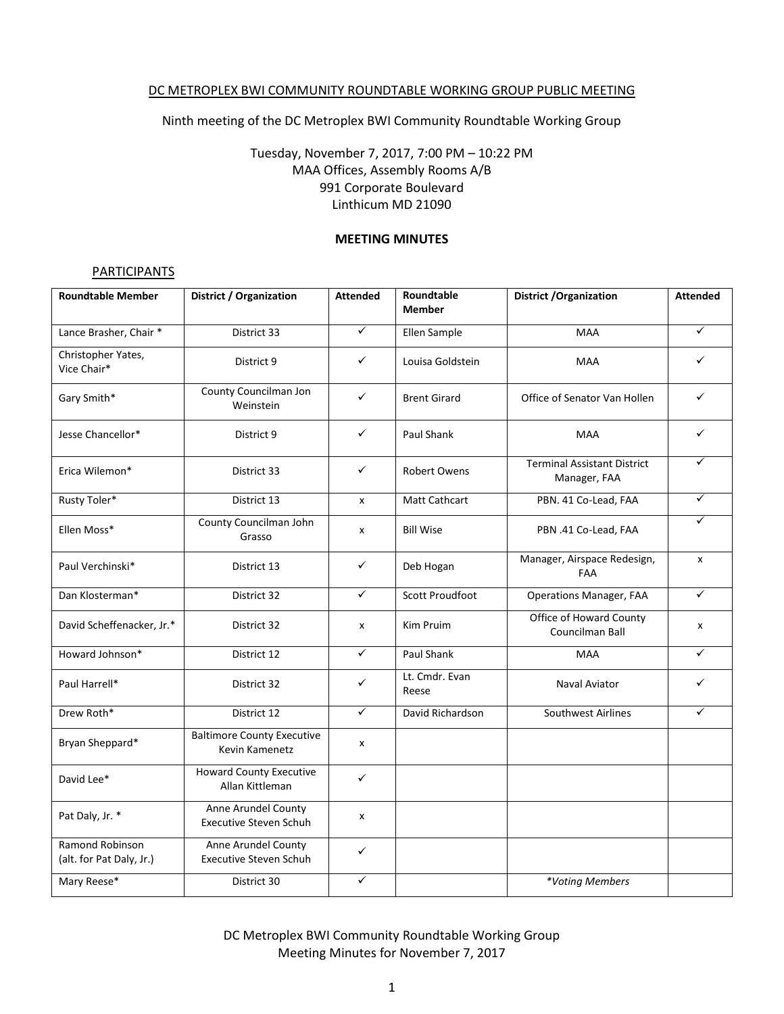#### DC METROPLEX BWI COMMUNITY ROUNDTABLE WORKING GROUP PUBLIC MEETING

## Ninth meeting of the DC Metroplex BWI Community Roundtable Working Group

# Tuesday, November 7, 2017, 7:00 PM – 10:22 PM MAA Offices, Assembly Rooms A/B 991 Corporate Boulevard Linthicum MD 21090

#### **MEETING MINUTES**

### **PARTICIPANTS**

| <b>Roundtable Member</b>                    | <b>District / Organization</b>                       | <b>Attended</b> | Roundtable<br><b>Member</b> | <b>District / Organization</b>                     | <b>Attended</b> |
|---------------------------------------------|------------------------------------------------------|-----------------|-----------------------------|----------------------------------------------------|-----------------|
| Lance Brasher, Chair *                      | District 33                                          | $\checkmark$    | Ellen Sample                | <b>MAA</b>                                         | $\checkmark$    |
| Christopher Yates,<br>Vice Chair*           | District 9                                           | ✓               | Louisa Goldstein            | <b>MAA</b>                                         | ✓               |
| Gary Smith*                                 | County Councilman Jon<br>Weinstein                   | $\checkmark$    | <b>Brent Girard</b>         | Office of Senator Van Hollen                       | $\checkmark$    |
| Jesse Chancellor*                           | District 9                                           | ✓               | Paul Shank                  | <b>MAA</b>                                         | ✓               |
| Erica Wilemon*                              | District 33                                          | $\checkmark$    | <b>Robert Owens</b>         | <b>Terminal Assistant District</b><br>Manager, FAA | ✓               |
| Rusty Toler*                                | District 13                                          | x               | Matt Cathcart               | PBN. 41 Co-Lead, FAA                               | $\checkmark$    |
| Ellen Moss*                                 | County Councilman John<br>Grasso                     | x               | <b>Bill Wise</b>            | PBN .41 Co-Lead, FAA                               | ✓               |
| Paul Verchinski*                            | District 13                                          | ✓               | Deb Hogan                   | Manager, Airspace Redesign,<br>FAA                 | x               |
| Dan Klosterman*                             | District 32                                          | $\checkmark$    | <b>Scott Proudfoot</b>      | <b>Operations Manager, FAA</b>                     | $\checkmark$    |
| David Scheffenacker, Jr.*                   | District 32                                          | x               | Kim Pruim                   | Office of Howard County<br>Councilman Ball         | x               |
| Howard Johnson*                             | District 12                                          | ✓               | Paul Shank                  | MAA                                                | ✓               |
| Paul Harrell*                               | District 32                                          | ✓               | Lt. Cmdr. Evan<br>Reese     | Naval Aviator                                      | ✓               |
| Drew Roth*                                  | District 12                                          | $\checkmark$    | David Richardson            | Southwest Airlines                                 | $\checkmark$    |
| Bryan Sheppard*                             | <b>Baltimore County Executive</b><br>Kevin Kamenetz  | X               |                             |                                                    |                 |
| David Lee*                                  | <b>Howard County Executive</b><br>Allan Kittleman    | $\checkmark$    |                             |                                                    |                 |
| Pat Daly, Jr. *                             | Anne Arundel County<br><b>Executive Steven Schuh</b> | X               |                             |                                                    |                 |
| Ramond Robinson<br>(alt. for Pat Daly, Jr.) | Anne Arundel County<br>Executive Steven Schuh        | $\checkmark$    |                             |                                                    |                 |
| Mary Reese*                                 | District 30                                          | ✓               |                             | *Voting Members                                    |                 |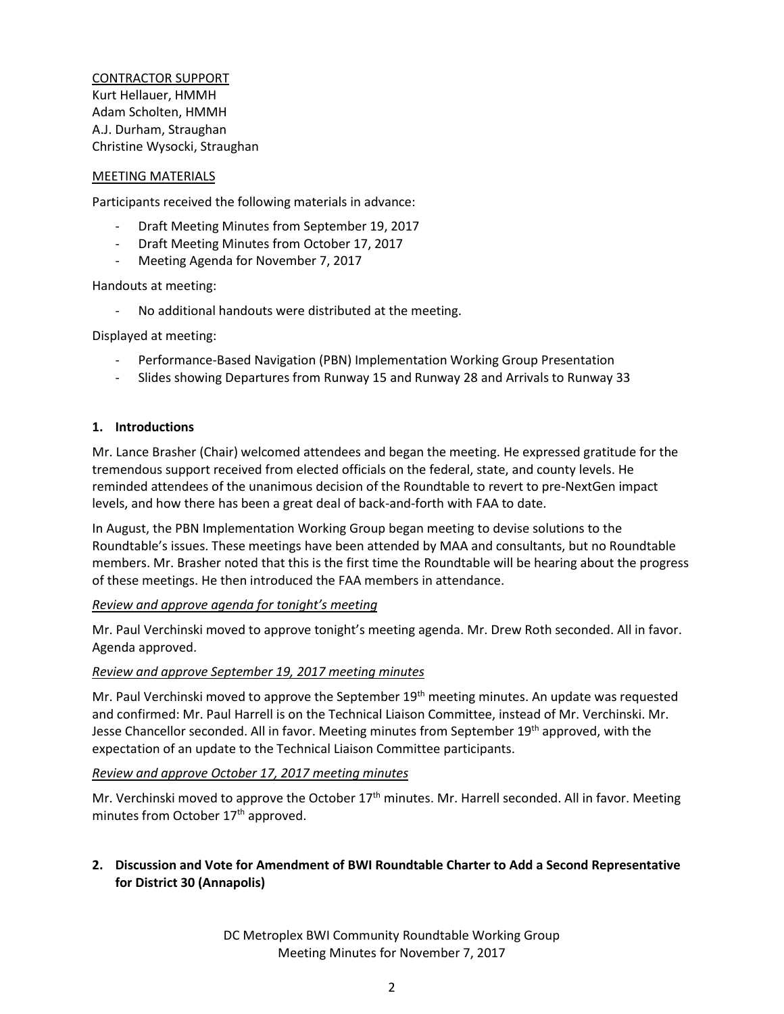CONTRACTOR SUPPORT Kurt Hellauer, HMMH Adam Scholten, HMMH A.J. Durham, Straughan Christine Wysocki, Straughan

#### MEETING MATERIALS

Participants received the following materials in advance:

- Draft Meeting Minutes from September 19, 2017
- Draft Meeting Minutes from October 17, 2017
- Meeting Agenda for November 7, 2017

Handouts at meeting:

No additional handouts were distributed at the meeting.

Displayed at meeting:

- Performance-Based Navigation (PBN) Implementation Working Group Presentation
- Slides showing Departures from Runway 15 and Runway 28 and Arrivals to Runway 33

#### **1. Introductions**

Mr. Lance Brasher (Chair) welcomed attendees and began the meeting. He expressed gratitude for the tremendous support received from elected officials on the federal, state, and county levels. He reminded attendees of the unanimous decision of the Roundtable to revert to pre-NextGen impact levels, and how there has been a great deal of back-and-forth with FAA to date.

In August, the PBN Implementation Working Group began meeting to devise solutions to the Roundtable's issues. These meetings have been attended by MAA and consultants, but no Roundtable members. Mr. Brasher noted that this is the first time the Roundtable will be hearing about the progress of these meetings. He then introduced the FAA members in attendance.

### *Review and approve agenda for tonight's meeting*

Mr. Paul Verchinski moved to approve tonight's meeting agenda. Mr. Drew Roth seconded. All in favor. Agenda approved.

### *Review and approve September 19, 2017 meeting minutes*

Mr. Paul Verchinski moved to approve the September 19<sup>th</sup> meeting minutes. An update was requested and confirmed: Mr. Paul Harrell is on the Technical Liaison Committee, instead of Mr. Verchinski. Mr. Jesse Chancellor seconded. All in favor. Meeting minutes from September 19<sup>th</sup> approved, with the expectation of an update to the Technical Liaison Committee participants.

#### *Review and approve October 17, 2017 meeting minutes*

Mr. Verchinski moved to approve the October 17<sup>th</sup> minutes. Mr. Harrell seconded. All in favor. Meeting minutes from October 17<sup>th</sup> approved.

## **2. Discussion and Vote for Amendment of BWI Roundtable Charter to Add a Second Representative for District 30 (Annapolis)**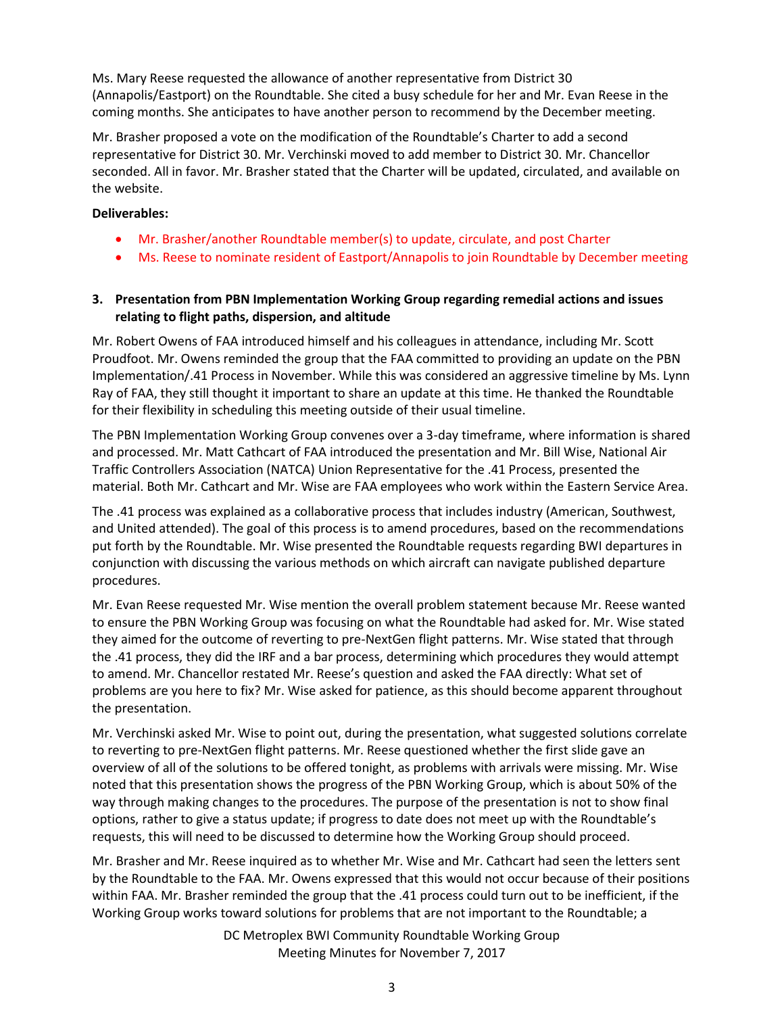Ms. Mary Reese requested the allowance of another representative from District 30 (Annapolis/Eastport) on the Roundtable. She cited a busy schedule for her and Mr. Evan Reese in the coming months. She anticipates to have another person to recommend by the December meeting.

Mr. Brasher proposed a vote on the modification of the Roundtable's Charter to add a second representative for District 30. Mr. Verchinski moved to add member to District 30. Mr. Chancellor seconded. All in favor. Mr. Brasher stated that the Charter will be updated, circulated, and available on the website.

#### **Deliverables:**

- Mr. Brasher/another Roundtable member(s) to update, circulate, and post Charter
- Ms. Reese to nominate resident of Eastport/Annapolis to join Roundtable by December meeting

### **3. Presentation from PBN Implementation Working Group regarding remedial actions and issues relating to flight paths, dispersion, and altitude**

Mr. Robert Owens of FAA introduced himself and his colleagues in attendance, including Mr. Scott Proudfoot. Mr. Owens reminded the group that the FAA committed to providing an update on the PBN Implementation/.41 Process in November. While this was considered an aggressive timeline by Ms. Lynn Ray of FAA, they still thought it important to share an update at this time. He thanked the Roundtable for their flexibility in scheduling this meeting outside of their usual timeline.

The PBN Implementation Working Group convenes over a 3-day timeframe, where information is shared and processed. Mr. Matt Cathcart of FAA introduced the presentation and Mr. Bill Wise, National Air Traffic Controllers Association (NATCA) Union Representative for the .41 Process, presented the material. Both Mr. Cathcart and Mr. Wise are FAA employees who work within the Eastern Service Area.

The .41 process was explained as a collaborative process that includes industry (American, Southwest, and United attended). The goal of this process is to amend procedures, based on the recommendations put forth by the Roundtable. Mr. Wise presented the Roundtable requests regarding BWI departures in conjunction with discussing the various methods on which aircraft can navigate published departure procedures.

Mr. Evan Reese requested Mr. Wise mention the overall problem statement because Mr. Reese wanted to ensure the PBN Working Group was focusing on what the Roundtable had asked for. Mr. Wise stated they aimed for the outcome of reverting to pre-NextGen flight patterns. Mr. Wise stated that through the .41 process, they did the IRF and a bar process, determining which procedures they would attempt to amend. Mr. Chancellor restated Mr. Reese's question and asked the FAA directly: What set of problems are you here to fix? Mr. Wise asked for patience, as this should become apparent throughout the presentation.

Mr. Verchinski asked Mr. Wise to point out, during the presentation, what suggested solutions correlate to reverting to pre-NextGen flight patterns. Mr. Reese questioned whether the first slide gave an overview of all of the solutions to be offered tonight, as problems with arrivals were missing. Mr. Wise noted that this presentation shows the progress of the PBN Working Group, which is about 50% of the way through making changes to the procedures. The purpose of the presentation is not to show final options, rather to give a status update; if progress to date does not meet up with the Roundtable's requests, this will need to be discussed to determine how the Working Group should proceed.

Mr. Brasher and Mr. Reese inquired as to whether Mr. Wise and Mr. Cathcart had seen the letters sent by the Roundtable to the FAA. Mr. Owens expressed that this would not occur because of their positions within FAA. Mr. Brasher reminded the group that the .41 process could turn out to be inefficient, if the Working Group works toward solutions for problems that are not important to the Roundtable; a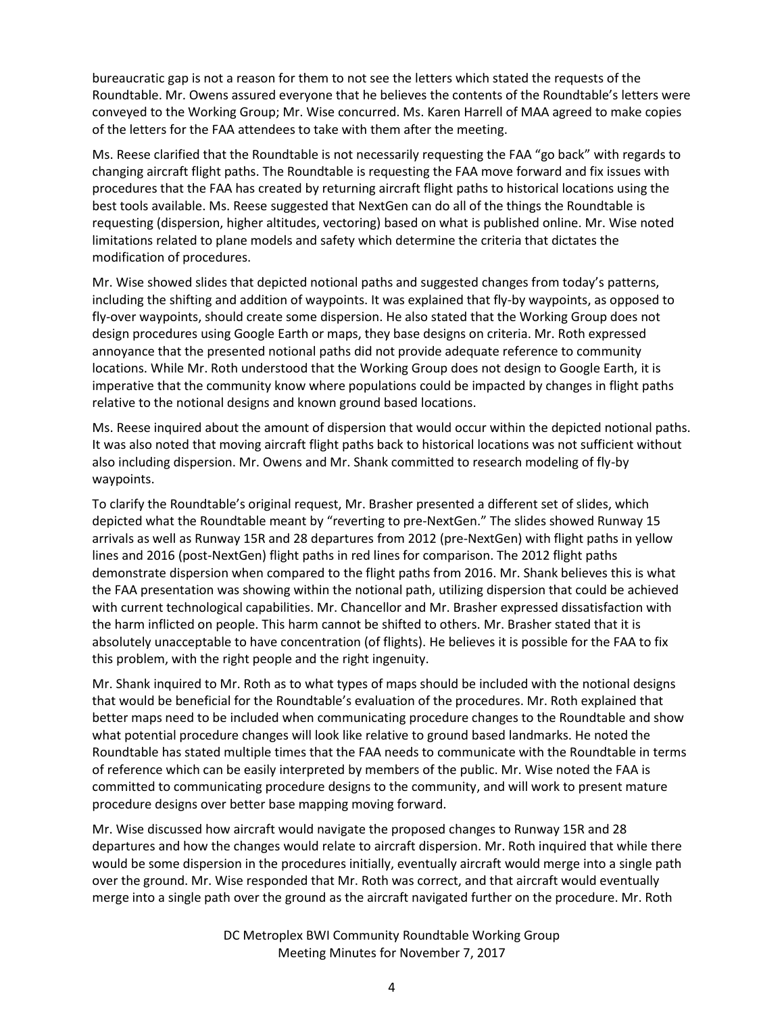bureaucratic gap is not a reason for them to not see the letters which stated the requests of the Roundtable. Mr. Owens assured everyone that he believes the contents of the Roundtable's letters were conveyed to the Working Group; Mr. Wise concurred. Ms. Karen Harrell of MAA agreed to make copies of the letters for the FAA attendees to take with them after the meeting.

Ms. Reese clarified that the Roundtable is not necessarily requesting the FAA "go back" with regards to changing aircraft flight paths. The Roundtable is requesting the FAA move forward and fix issues with procedures that the FAA has created by returning aircraft flight paths to historical locations using the best tools available. Ms. Reese suggested that NextGen can do all of the things the Roundtable is requesting (dispersion, higher altitudes, vectoring) based on what is published online. Mr. Wise noted limitations related to plane models and safety which determine the criteria that dictates the modification of procedures.

Mr. Wise showed slides that depicted notional paths and suggested changes from today's patterns, including the shifting and addition of waypoints. It was explained that fly-by waypoints, as opposed to fly-over waypoints, should create some dispersion. He also stated that the Working Group does not design procedures using Google Earth or maps, they base designs on criteria. Mr. Roth expressed annoyance that the presented notional paths did not provide adequate reference to community locations. While Mr. Roth understood that the Working Group does not design to Google Earth, it is imperative that the community know where populations could be impacted by changes in flight paths relative to the notional designs and known ground based locations.

Ms. Reese inquired about the amount of dispersion that would occur within the depicted notional paths. It was also noted that moving aircraft flight paths back to historical locations was not sufficient without also including dispersion. Mr. Owens and Mr. Shank committed to research modeling of fly-by waypoints.

To clarify the Roundtable's original request, Mr. Brasher presented a different set of slides, which depicted what the Roundtable meant by "reverting to pre-NextGen." The slides showed Runway 15 arrivals as well as Runway 15R and 28 departures from 2012 (pre-NextGen) with flight paths in yellow lines and 2016 (post-NextGen) flight paths in red lines for comparison. The 2012 flight paths demonstrate dispersion when compared to the flight paths from 2016. Mr. Shank believes this is what the FAA presentation was showing within the notional path, utilizing dispersion that could be achieved with current technological capabilities. Mr. Chancellor and Mr. Brasher expressed dissatisfaction with the harm inflicted on people. This harm cannot be shifted to others. Mr. Brasher stated that it is absolutely unacceptable to have concentration (of flights). He believes it is possible for the FAA to fix this problem, with the right people and the right ingenuity.

Mr. Shank inquired to Mr. Roth as to what types of maps should be included with the notional designs that would be beneficial for the Roundtable's evaluation of the procedures. Mr. Roth explained that better maps need to be included when communicating procedure changes to the Roundtable and show what potential procedure changes will look like relative to ground based landmarks. He noted the Roundtable has stated multiple times that the FAA needs to communicate with the Roundtable in terms of reference which can be easily interpreted by members of the public. Mr. Wise noted the FAA is committed to communicating procedure designs to the community, and will work to present mature procedure designs over better base mapping moving forward.

Mr. Wise discussed how aircraft would navigate the proposed changes to Runway 15R and 28 departures and how the changes would relate to aircraft dispersion. Mr. Roth inquired that while there would be some dispersion in the procedures initially, eventually aircraft would merge into a single path over the ground. Mr. Wise responded that Mr. Roth was correct, and that aircraft would eventually merge into a single path over the ground as the aircraft navigated further on the procedure. Mr. Roth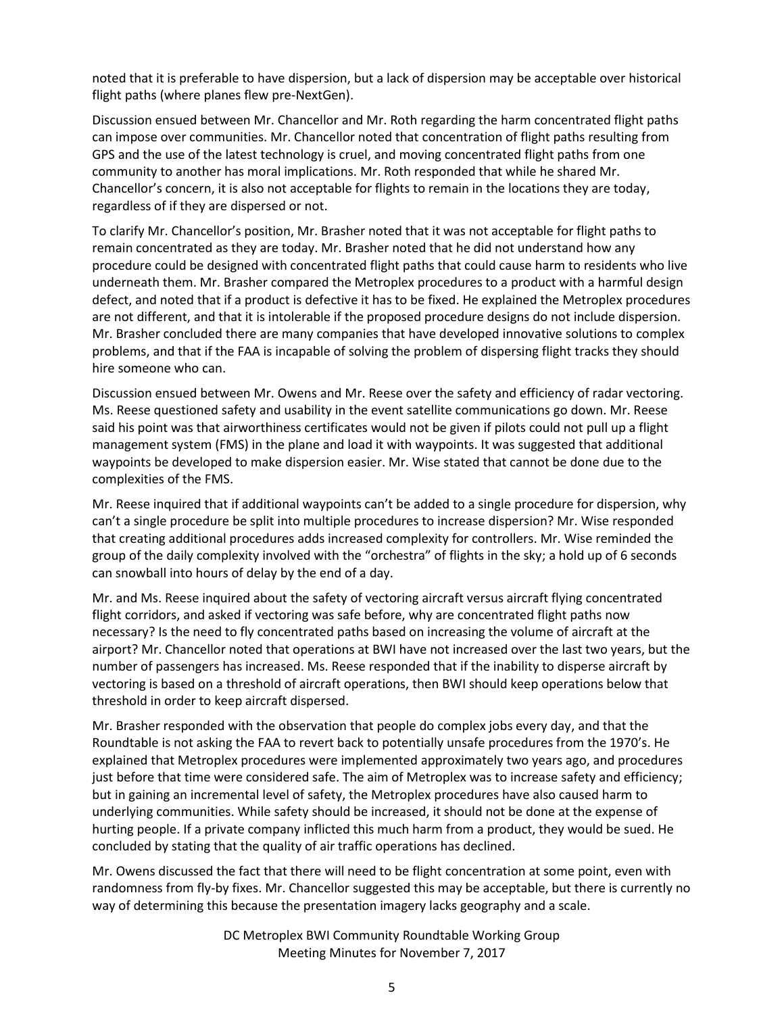noted that it is preferable to have dispersion, but a lack of dispersion may be acceptable over historical flight paths (where planes flew pre-NextGen).

Discussion ensued between Mr. Chancellor and Mr. Roth regarding the harm concentrated flight paths can impose over communities. Mr. Chancellor noted that concentration of flight paths resulting from GPS and the use of the latest technology is cruel, and moving concentrated flight paths from one community to another has moral implications. Mr. Roth responded that while he shared Mr. Chancellor's concern, it is also not acceptable for flights to remain in the locations they are today, regardless of if they are dispersed or not.

To clarify Mr. Chancellor's position, Mr. Brasher noted that it was not acceptable for flight paths to remain concentrated as they are today. Mr. Brasher noted that he did not understand how any procedure could be designed with concentrated flight paths that could cause harm to residents who live underneath them. Mr. Brasher compared the Metroplex procedures to a product with a harmful design defect, and noted that if a product is defective it has to be fixed. He explained the Metroplex procedures are not different, and that it is intolerable if the proposed procedure designs do not include dispersion. Mr. Brasher concluded there are many companies that have developed innovative solutions to complex problems, and that if the FAA is incapable of solving the problem of dispersing flight tracks they should hire someone who can.

Discussion ensued between Mr. Owens and Mr. Reese over the safety and efficiency of radar vectoring. Ms. Reese questioned safety and usability in the event satellite communications go down. Mr. Reese said his point was that airworthiness certificates would not be given if pilots could not pull up a flight management system (FMS) in the plane and load it with waypoints. It was suggested that additional waypoints be developed to make dispersion easier. Mr. Wise stated that cannot be done due to the complexities of the FMS.

Mr. Reese inquired that if additional waypoints can't be added to a single procedure for dispersion, why can't a single procedure be split into multiple procedures to increase dispersion? Mr. Wise responded that creating additional procedures adds increased complexity for controllers. Mr. Wise reminded the group of the daily complexity involved with the "orchestra" of flights in the sky; a hold up of 6 seconds can snowball into hours of delay by the end of a day.

Mr. and Ms. Reese inquired about the safety of vectoring aircraft versus aircraft flying concentrated flight corridors, and asked if vectoring was safe before, why are concentrated flight paths now necessary? Is the need to fly concentrated paths based on increasing the volume of aircraft at the airport? Mr. Chancellor noted that operations at BWI have not increased over the last two years, but the number of passengers has increased. Ms. Reese responded that if the inability to disperse aircraft by vectoring is based on a threshold of aircraft operations, then BWI should keep operations below that threshold in order to keep aircraft dispersed.

Mr. Brasher responded with the observation that people do complex jobs every day, and that the Roundtable is not asking the FAA to revert back to potentially unsafe procedures from the 1970's. He explained that Metroplex procedures were implemented approximately two years ago, and procedures just before that time were considered safe. The aim of Metroplex was to increase safety and efficiency; but in gaining an incremental level of safety, the Metroplex procedures have also caused harm to underlying communities. While safety should be increased, it should not be done at the expense of hurting people. If a private company inflicted this much harm from a product, they would be sued. He concluded by stating that the quality of air traffic operations has declined.

Mr. Owens discussed the fact that there will need to be flight concentration at some point, even with randomness from fly-by fixes. Mr. Chancellor suggested this may be acceptable, but there is currently no way of determining this because the presentation imagery lacks geography and a scale.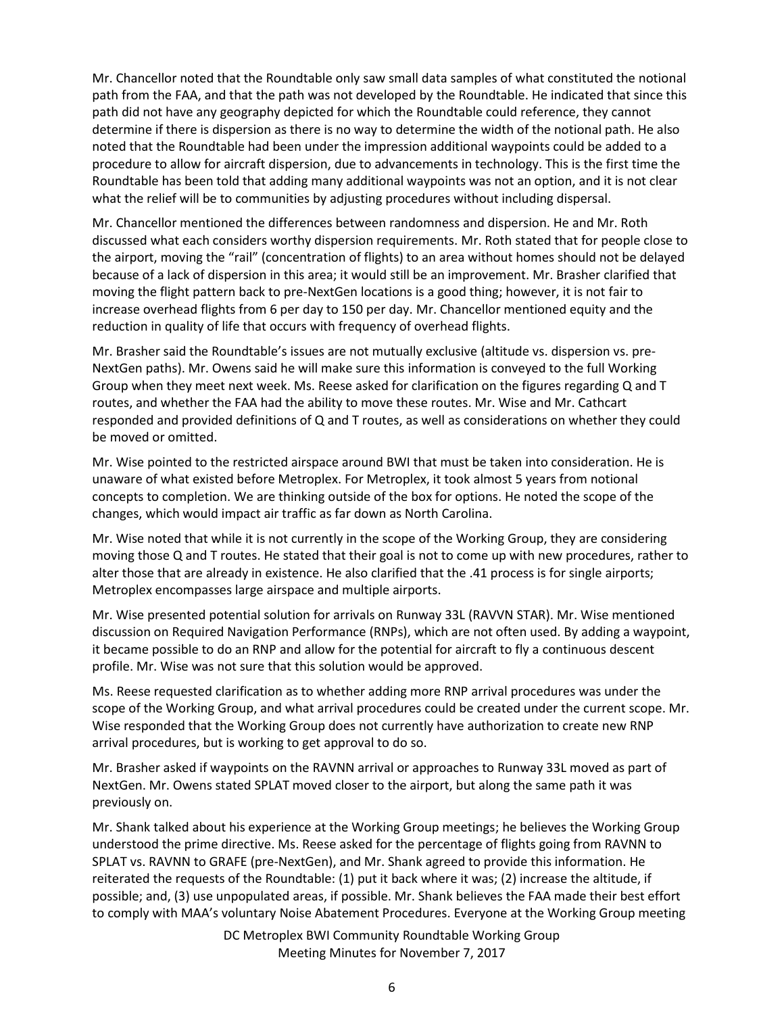Mr. Chancellor noted that the Roundtable only saw small data samples of what constituted the notional path from the FAA, and that the path was not developed by the Roundtable. He indicated that since this path did not have any geography depicted for which the Roundtable could reference, they cannot determine if there is dispersion as there is no way to determine the width of the notional path. He also noted that the Roundtable had been under the impression additional waypoints could be added to a procedure to allow for aircraft dispersion, due to advancements in technology. This is the first time the Roundtable has been told that adding many additional waypoints was not an option, and it is not clear what the relief will be to communities by adjusting procedures without including dispersal.

Mr. Chancellor mentioned the differences between randomness and dispersion. He and Mr. Roth discussed what each considers worthy dispersion requirements. Mr. Roth stated that for people close to the airport, moving the "rail" (concentration of flights) to an area without homes should not be delayed because of a lack of dispersion in this area; it would still be an improvement. Mr. Brasher clarified that moving the flight pattern back to pre-NextGen locations is a good thing; however, it is not fair to increase overhead flights from 6 per day to 150 per day. Mr. Chancellor mentioned equity and the reduction in quality of life that occurs with frequency of overhead flights.

Mr. Brasher said the Roundtable's issues are not mutually exclusive (altitude vs. dispersion vs. pre-NextGen paths). Mr. Owens said he will make sure this information is conveyed to the full Working Group when they meet next week. Ms. Reese asked for clarification on the figures regarding Q and T routes, and whether the FAA had the ability to move these routes. Mr. Wise and Mr. Cathcart responded and provided definitions of Q and T routes, as well as considerations on whether they could be moved or omitted.

Mr. Wise pointed to the restricted airspace around BWI that must be taken into consideration. He is unaware of what existed before Metroplex. For Metroplex, it took almost 5 years from notional concepts to completion. We are thinking outside of the box for options. He noted the scope of the changes, which would impact air traffic as far down as North Carolina.

Mr. Wise noted that while it is not currently in the scope of the Working Group, they are considering moving those Q and T routes. He stated that their goal is not to come up with new procedures, rather to alter those that are already in existence. He also clarified that the .41 process is for single airports; Metroplex encompasses large airspace and multiple airports.

Mr. Wise presented potential solution for arrivals on Runway 33L (RAVVN STAR). Mr. Wise mentioned discussion on Required Navigation Performance (RNPs), which are not often used. By adding a waypoint, it became possible to do an RNP and allow for the potential for aircraft to fly a continuous descent profile. Mr. Wise was not sure that this solution would be approved.

Ms. Reese requested clarification as to whether adding more RNP arrival procedures was under the scope of the Working Group, and what arrival procedures could be created under the current scope. Mr. Wise responded that the Working Group does not currently have authorization to create new RNP arrival procedures, but is working to get approval to do so.

Mr. Brasher asked if waypoints on the RAVNN arrival or approaches to Runway 33L moved as part of NextGen. Mr. Owens stated SPLAT moved closer to the airport, but along the same path it was previously on.

Mr. Shank talked about his experience at the Working Group meetings; he believes the Working Group understood the prime directive. Ms. Reese asked for the percentage of flights going from RAVNN to SPLAT vs. RAVNN to GRAFE (pre-NextGen), and Mr. Shank agreed to provide this information. He reiterated the requests of the Roundtable: (1) put it back where it was; (2) increase the altitude, if possible; and, (3) use unpopulated areas, if possible. Mr. Shank believes the FAA made their best effort to comply with MAA's voluntary Noise Abatement Procedures. Everyone at the Working Group meeting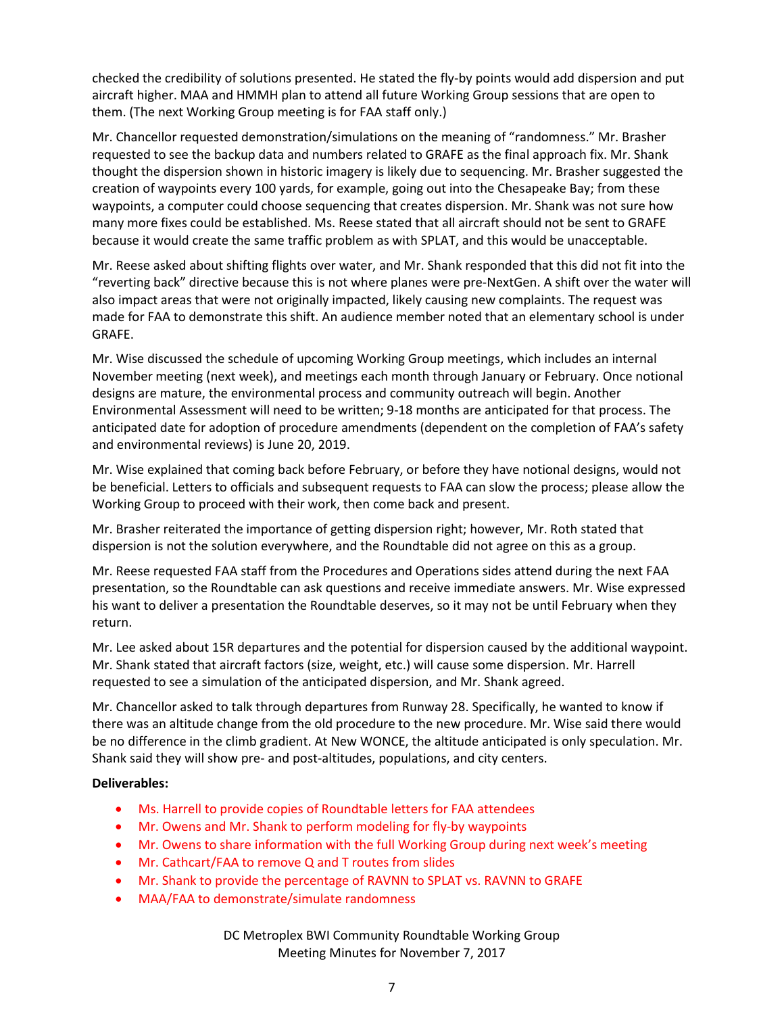checked the credibility of solutions presented. He stated the fly-by points would add dispersion and put aircraft higher. MAA and HMMH plan to attend all future Working Group sessions that are open to them. (The next Working Group meeting is for FAA staff only.)

Mr. Chancellor requested demonstration/simulations on the meaning of "randomness." Mr. Brasher requested to see the backup data and numbers related to GRAFE as the final approach fix. Mr. Shank thought the dispersion shown in historic imagery is likely due to sequencing. Mr. Brasher suggested the creation of waypoints every 100 yards, for example, going out into the Chesapeake Bay; from these waypoints, a computer could choose sequencing that creates dispersion. Mr. Shank was not sure how many more fixes could be established. Ms. Reese stated that all aircraft should not be sent to GRAFE because it would create the same traffic problem as with SPLAT, and this would be unacceptable.

Mr. Reese asked about shifting flights over water, and Mr. Shank responded that this did not fit into the "reverting back" directive because this is not where planes were pre-NextGen. A shift over the water will also impact areas that were not originally impacted, likely causing new complaints. The request was made for FAA to demonstrate this shift. An audience member noted that an elementary school is under GRAFE.

Mr. Wise discussed the schedule of upcoming Working Group meetings, which includes an internal November meeting (next week), and meetings each month through January or February. Once notional designs are mature, the environmental process and community outreach will begin. Another Environmental Assessment will need to be written; 9-18 months are anticipated for that process. The anticipated date for adoption of procedure amendments (dependent on the completion of FAA's safety and environmental reviews) is June 20, 2019.

Mr. Wise explained that coming back before February, or before they have notional designs, would not be beneficial. Letters to officials and subsequent requests to FAA can slow the process; please allow the Working Group to proceed with their work, then come back and present.

Mr. Brasher reiterated the importance of getting dispersion right; however, Mr. Roth stated that dispersion is not the solution everywhere, and the Roundtable did not agree on this as a group.

Mr. Reese requested FAA staff from the Procedures and Operations sides attend during the next FAA presentation, so the Roundtable can ask questions and receive immediate answers. Mr. Wise expressed his want to deliver a presentation the Roundtable deserves, so it may not be until February when they return.

Mr. Lee asked about 15R departures and the potential for dispersion caused by the additional waypoint. Mr. Shank stated that aircraft factors (size, weight, etc.) will cause some dispersion. Mr. Harrell requested to see a simulation of the anticipated dispersion, and Mr. Shank agreed.

Mr. Chancellor asked to talk through departures from Runway 28. Specifically, he wanted to know if there was an altitude change from the old procedure to the new procedure. Mr. Wise said there would be no difference in the climb gradient. At New WONCE, the altitude anticipated is only speculation. Mr. Shank said they will show pre- and post-altitudes, populations, and city centers.

### **Deliverables:**

- Ms. Harrell to provide copies of Roundtable letters for FAA attendees
- Mr. Owens and Mr. Shank to perform modeling for fly-by waypoints
- Mr. Owens to share information with the full Working Group during next week's meeting
- Mr. Cathcart/FAA to remove Q and T routes from slides
- Mr. Shank to provide the percentage of RAVNN to SPLAT vs. RAVNN to GRAFE
- MAA/FAA to demonstrate/simulate randomness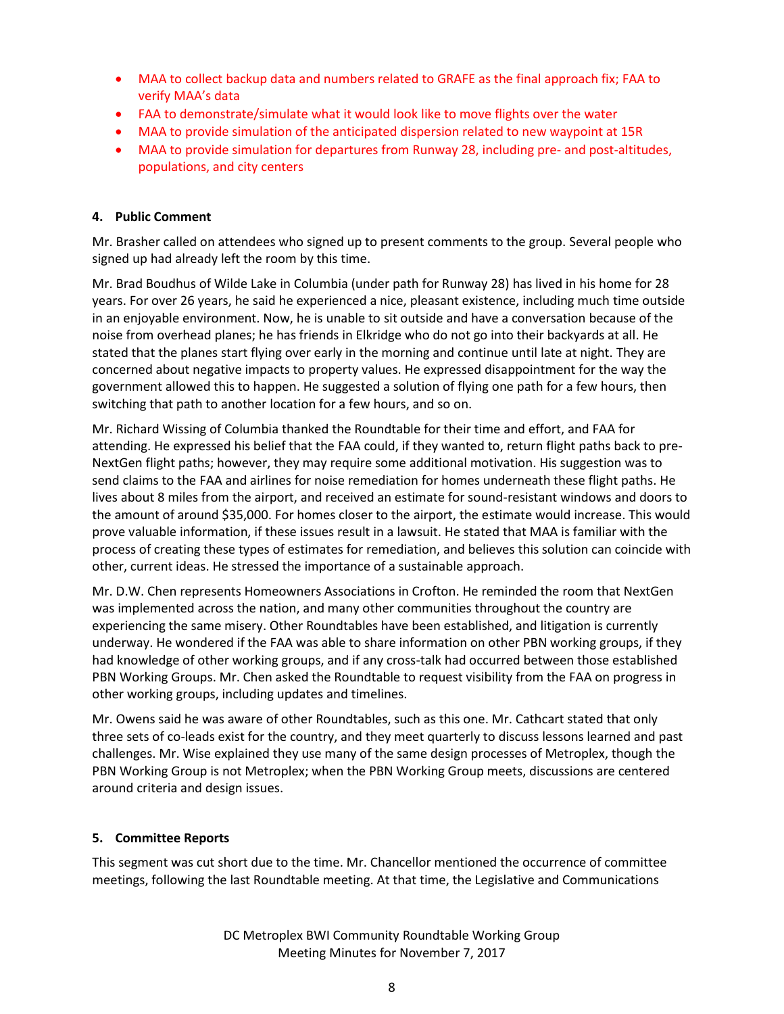- MAA to collect backup data and numbers related to GRAFE as the final approach fix; FAA to verify MAA's data
- FAA to demonstrate/simulate what it would look like to move flights over the water
- MAA to provide simulation of the anticipated dispersion related to new waypoint at 15R
- MAA to provide simulation for departures from Runway 28, including pre- and post-altitudes, populations, and city centers

# **4. Public Comment**

Mr. Brasher called on attendees who signed up to present comments to the group. Several people who signed up had already left the room by this time.

Mr. Brad Boudhus of Wilde Lake in Columbia (under path for Runway 28) has lived in his home for 28 years. For over 26 years, he said he experienced a nice, pleasant existence, including much time outside in an enjoyable environment. Now, he is unable to sit outside and have a conversation because of the noise from overhead planes; he has friends in Elkridge who do not go into their backyards at all. He stated that the planes start flying over early in the morning and continue until late at night. They are concerned about negative impacts to property values. He expressed disappointment for the way the government allowed this to happen. He suggested a solution of flying one path for a few hours, then switching that path to another location for a few hours, and so on.

Mr. Richard Wissing of Columbia thanked the Roundtable for their time and effort, and FAA for attending. He expressed his belief that the FAA could, if they wanted to, return flight paths back to pre-NextGen flight paths; however, they may require some additional motivation. His suggestion was to send claims to the FAA and airlines for noise remediation for homes underneath these flight paths. He lives about 8 miles from the airport, and received an estimate for sound-resistant windows and doors to the amount of around \$35,000. For homes closer to the airport, the estimate would increase. This would prove valuable information, if these issues result in a lawsuit. He stated that MAA is familiar with the process of creating these types of estimates for remediation, and believes this solution can coincide with other, current ideas. He stressed the importance of a sustainable approach.

Mr. D.W. Chen represents Homeowners Associations in Crofton. He reminded the room that NextGen was implemented across the nation, and many other communities throughout the country are experiencing the same misery. Other Roundtables have been established, and litigation is currently underway. He wondered if the FAA was able to share information on other PBN working groups, if they had knowledge of other working groups, and if any cross-talk had occurred between those established PBN Working Groups. Mr. Chen asked the Roundtable to request visibility from the FAA on progress in other working groups, including updates and timelines.

Mr. Owens said he was aware of other Roundtables, such as this one. Mr. Cathcart stated that only three sets of co-leads exist for the country, and they meet quarterly to discuss lessons learned and past challenges. Mr. Wise explained they use many of the same design processes of Metroplex, though the PBN Working Group is not Metroplex; when the PBN Working Group meets, discussions are centered around criteria and design issues.

# **5. Committee Reports**

This segment was cut short due to the time. Mr. Chancellor mentioned the occurrence of committee meetings, following the last Roundtable meeting. At that time, the Legislative and Communications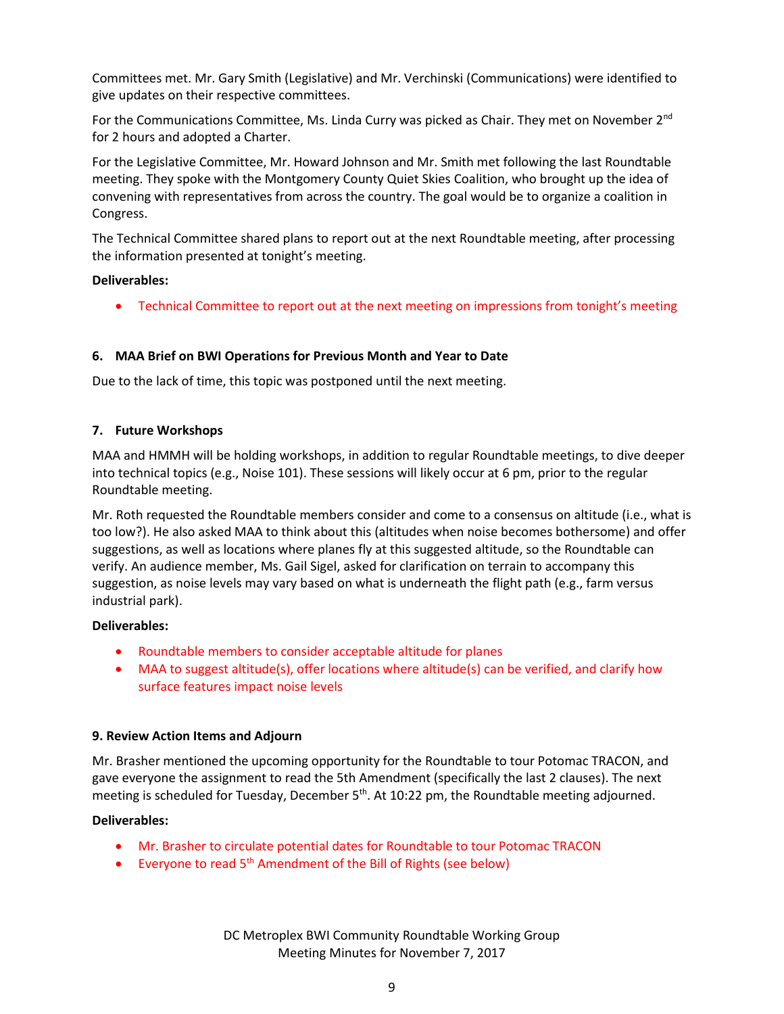Committees met. Mr. Gary Smith (Legislative) and Mr. Verchinski (Communications) were identified to give updates on their respective committees.

For the Communications Committee, Ms. Linda Curry was picked as Chair. They met on November 2<sup>nd</sup> for 2 hours and adopted a Charter.

For the Legislative Committee, Mr. Howard Johnson and Mr. Smith met following the last Roundtable meeting. They spoke with the Montgomery County Quiet Skies Coalition, who brought up the idea of convening with representatives from across the country. The goal would be to organize a coalition in Congress.

The Technical Committee shared plans to report out at the next Roundtable meeting, after processing the information presented at tonight's meeting.

### **Deliverables:**

• Technical Committee to report out at the next meeting on impressions from tonight's meeting

## **6. MAA Brief on BWI Operations for Previous Month and Year to Date**

Due to the lack of time, this topic was postponed until the next meeting.

### **7. Future Workshops**

MAA and HMMH will be holding workshops, in addition to regular Roundtable meetings, to dive deeper into technical topics (e.g., Noise 101). These sessions will likely occur at 6 pm, prior to the regular Roundtable meeting.

Mr. Roth requested the Roundtable members consider and come to a consensus on altitude (i.e., what is too low?). He also asked MAA to think about this (altitudes when noise becomes bothersome) and offer suggestions, as well as locations where planes fly at this suggested altitude, so the Roundtable can verify. An audience member, Ms. Gail Sigel, asked for clarification on terrain to accompany this suggestion, as noise levels may vary based on what is underneath the flight path (e.g., farm versus industrial park).

### **Deliverables:**

- Roundtable members to consider acceptable altitude for planes
- MAA to suggest altitude(s), offer locations where altitude(s) can be verified, and clarify how surface features impact noise levels

### **9. Review Action Items and Adjourn**

Mr. Brasher mentioned the upcoming opportunity for the Roundtable to tour Potomac TRACON, and gave everyone the assignment to read the 5th Amendment (specifically the last 2 clauses). The next meeting is scheduled for Tuesday, December 5<sup>th</sup>. At 10:22 pm, the Roundtable meeting adjourned.

### **Deliverables:**

- Mr. Brasher to circulate potential dates for Roundtable to tour Potomac TRACON
- Everyone to read 5<sup>th</sup> Amendment of the Bill of Rights (see below)